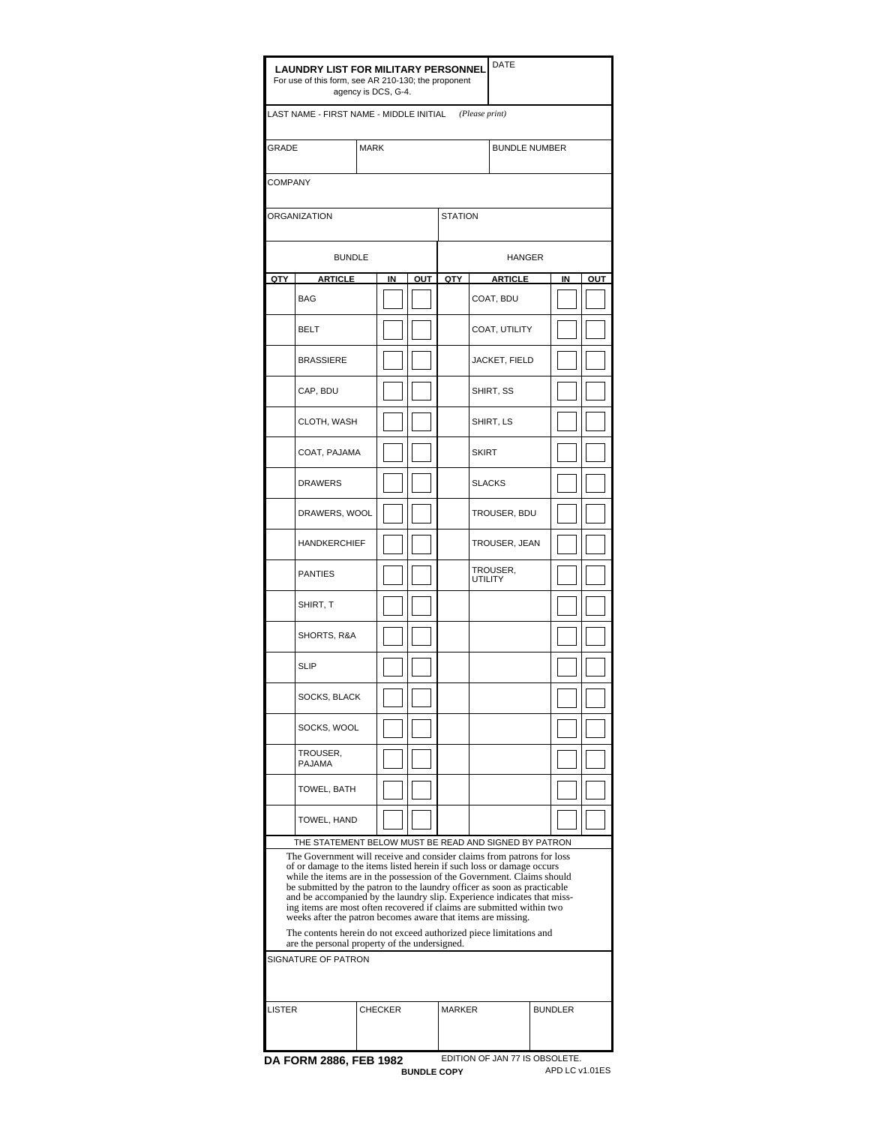| <b>LAUNDRY LIST FOR MILITARY PERSONNEL</b><br>For use of this form, see AR 210-130; the proponent                                                                                                                                                                                                                                                                                                                                                                                                                                                                                                                                                                                                                               | <b>DATE</b>                                            |  |                |                    |                                 |                      |                                |  |    |                |  |
|---------------------------------------------------------------------------------------------------------------------------------------------------------------------------------------------------------------------------------------------------------------------------------------------------------------------------------------------------------------------------------------------------------------------------------------------------------------------------------------------------------------------------------------------------------------------------------------------------------------------------------------------------------------------------------------------------------------------------------|--------------------------------------------------------|--|----------------|--------------------|---------------------------------|----------------------|--------------------------------|--|----|----------------|--|
|                                                                                                                                                                                                                                                                                                                                                                                                                                                                                                                                                                                                                                                                                                                                 | LAST NAME - FIRST NAME - MIDDLE INITIAL (Please print) |  |                |                    |                                 |                      |                                |  |    |                |  |
| <b>GRADE</b><br><b>MARK</b>                                                                                                                                                                                                                                                                                                                                                                                                                                                                                                                                                                                                                                                                                                     |                                                        |  |                |                    |                                 | <b>BUNDLE NUMBER</b> |                                |  |    |                |  |
|                                                                                                                                                                                                                                                                                                                                                                                                                                                                                                                                                                                                                                                                                                                                 | <b>COMPANY</b>                                         |  |                |                    |                                 |                      |                                |  |    |                |  |
|                                                                                                                                                                                                                                                                                                                                                                                                                                                                                                                                                                                                                                                                                                                                 | ORGANIZATION                                           |  |                |                    | <b>STATION</b>                  |                      |                                |  |    |                |  |
|                                                                                                                                                                                                                                                                                                                                                                                                                                                                                                                                                                                                                                                                                                                                 | <b>BUNDLE</b>                                          |  |                |                    |                                 |                      | HANGER                         |  |    |                |  |
| QTY                                                                                                                                                                                                                                                                                                                                                                                                                                                                                                                                                                                                                                                                                                                             | <b>ARTICLE</b>                                         |  | IN             | OUT                | QTY                             |                      | <b>ARTICLE</b>                 |  | IN | OUT            |  |
|                                                                                                                                                                                                                                                                                                                                                                                                                                                                                                                                                                                                                                                                                                                                 | <b>BAG</b>                                             |  |                |                    |                                 |                      | COAT, BDU                      |  |    |                |  |
|                                                                                                                                                                                                                                                                                                                                                                                                                                                                                                                                                                                                                                                                                                                                 | <b>BELT</b>                                            |  |                |                    |                                 |                      | COAT, UTILITY                  |  |    |                |  |
|                                                                                                                                                                                                                                                                                                                                                                                                                                                                                                                                                                                                                                                                                                                                 | <b>BRASSIERE</b>                                       |  |                |                    |                                 |                      | JACKET, FIELD                  |  |    |                |  |
|                                                                                                                                                                                                                                                                                                                                                                                                                                                                                                                                                                                                                                                                                                                                 | CAP, BDU                                               |  |                |                    |                                 |                      | SHIRT, SS                      |  |    |                |  |
|                                                                                                                                                                                                                                                                                                                                                                                                                                                                                                                                                                                                                                                                                                                                 | CLOTH, WASH                                            |  |                |                    |                                 |                      | SHIRT, LS                      |  |    |                |  |
|                                                                                                                                                                                                                                                                                                                                                                                                                                                                                                                                                                                                                                                                                                                                 | COAT, PAJAMA                                           |  |                |                    |                                 | <b>SKIRT</b>         |                                |  |    |                |  |
|                                                                                                                                                                                                                                                                                                                                                                                                                                                                                                                                                                                                                                                                                                                                 | <b>DRAWERS</b>                                         |  |                |                    |                                 | <b>SLACKS</b>        |                                |  |    |                |  |
|                                                                                                                                                                                                                                                                                                                                                                                                                                                                                                                                                                                                                                                                                                                                 | DRAWERS, WOOL                                          |  |                |                    |                                 |                      | TROUSER, BDU                   |  |    |                |  |
|                                                                                                                                                                                                                                                                                                                                                                                                                                                                                                                                                                                                                                                                                                                                 | <b>HANDKERCHIEF</b>                                    |  |                |                    |                                 |                      | TROUSER, JEAN                  |  |    |                |  |
|                                                                                                                                                                                                                                                                                                                                                                                                                                                                                                                                                                                                                                                                                                                                 | <b>PANTIES</b>                                         |  |                |                    |                                 | <b>UTILITY</b>       | TROUSER,                       |  |    |                |  |
|                                                                                                                                                                                                                                                                                                                                                                                                                                                                                                                                                                                                                                                                                                                                 | SHIRT, T                                               |  |                |                    |                                 |                      |                                |  |    |                |  |
|                                                                                                                                                                                                                                                                                                                                                                                                                                                                                                                                                                                                                                                                                                                                 | SHORTS, R&A                                            |  |                |                    |                                 |                      |                                |  |    |                |  |
|                                                                                                                                                                                                                                                                                                                                                                                                                                                                                                                                                                                                                                                                                                                                 | <b>SLIP</b>                                            |  |                |                    |                                 |                      |                                |  |    |                |  |
|                                                                                                                                                                                                                                                                                                                                                                                                                                                                                                                                                                                                                                                                                                                                 | SOCKS, BLACK<br>SOCKS, WOOL                            |  |                |                    |                                 |                      |                                |  |    |                |  |
|                                                                                                                                                                                                                                                                                                                                                                                                                                                                                                                                                                                                                                                                                                                                 |                                                        |  |                |                    |                                 |                      |                                |  |    |                |  |
|                                                                                                                                                                                                                                                                                                                                                                                                                                                                                                                                                                                                                                                                                                                                 | TROUSER,<br><b>PAJAMA</b>                              |  |                |                    |                                 |                      |                                |  |    |                |  |
|                                                                                                                                                                                                                                                                                                                                                                                                                                                                                                                                                                                                                                                                                                                                 | TOWEL, BATH                                            |  |                |                    |                                 |                      |                                |  |    |                |  |
|                                                                                                                                                                                                                                                                                                                                                                                                                                                                                                                                                                                                                                                                                                                                 | TOWEL, HAND                                            |  |                |                    |                                 |                      |                                |  |    |                |  |
| THE STATEMENT BELOW MUST BE READ AND SIGNED BY PATRON<br>The Government will receive and consider claims from patrons for loss<br>of or damage to the items listed herein if such loss or damage occurs<br>while the items are in the possession of the Government. Claims should<br>be submitted by the patron to the laundry officer as soon as practicable<br>and be accompanied by the laundry slip. Experience indicates that miss-<br>ing items are most often recovered if claims are submitted within two<br>weeks after the patron becomes aware that items are missing.<br>The contents herein do not exceed authorized piece limitations and<br>are the personal property of the undersigned.<br>SIGNATURE OF PATRON |                                                        |  |                |                    |                                 |                      |                                |  |    |                |  |
| <b>LISTER</b>                                                                                                                                                                                                                                                                                                                                                                                                                                                                                                                                                                                                                                                                                                                   |                                                        |  | <b>CHECKER</b> |                    | <b>MARKER</b><br><b>BUNDLER</b> |                      |                                |  |    |                |  |
|                                                                                                                                                                                                                                                                                                                                                                                                                                                                                                                                                                                                                                                                                                                                 | DA FORM 2886, FEB 1982                                 |  |                | <b>BUNDLE COPY</b> |                                 |                      | EDITION OF JAN 77 IS OBSOLETE. |  |    | APD LC v1.01ES |  |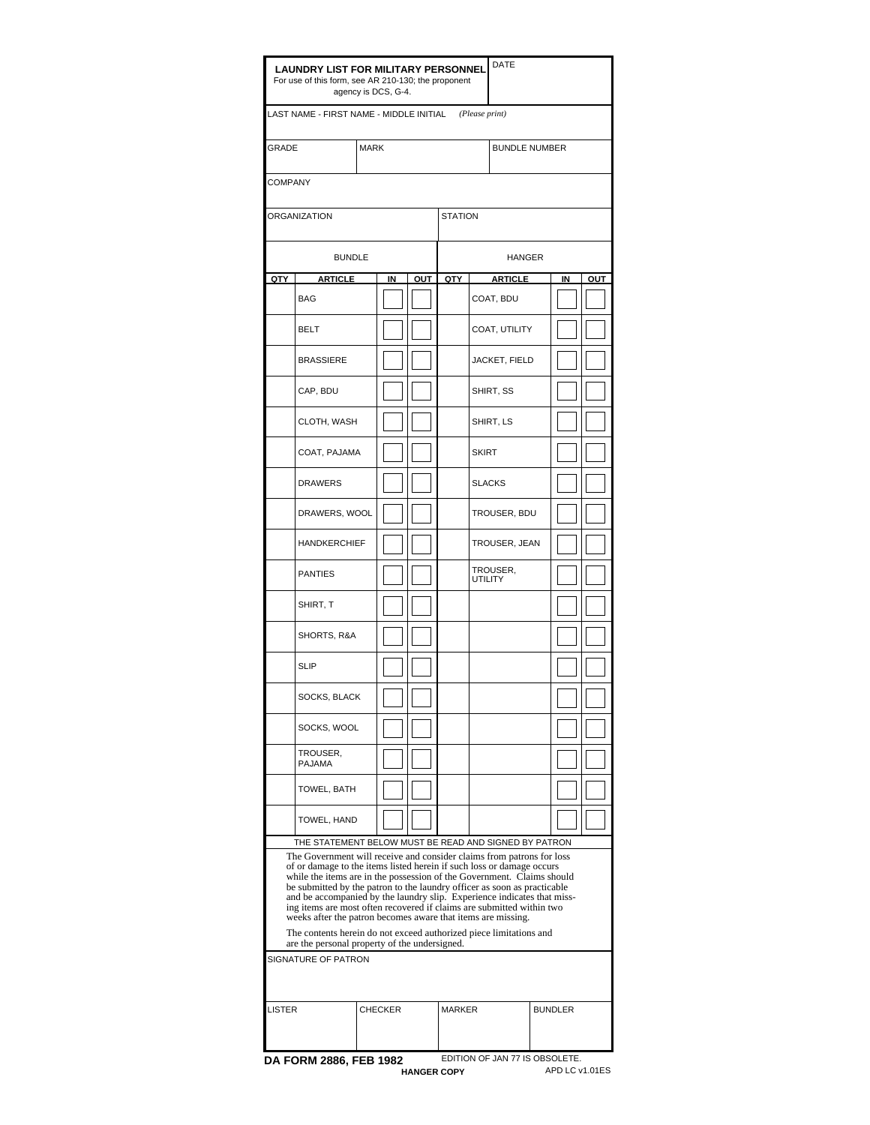| <b>LAUNDRY LIST FOR MILITARY PERSONNEL</b><br>For use of this form, see AR 210-130; the proponent<br>agency is DCS, G-4.              |                                                                                                                                                    |  |                                 |     |                |                      | DATE           |  |    |     |  |
|---------------------------------------------------------------------------------------------------------------------------------------|----------------------------------------------------------------------------------------------------------------------------------------------------|--|---------------------------------|-----|----------------|----------------------|----------------|--|----|-----|--|
| LAST NAME - FIRST NAME - MIDDLE INITIAL (Please print)                                                                                |                                                                                                                                                    |  |                                 |     |                |                      |                |  |    |     |  |
| <b>GRADE</b><br><b>MARK</b>                                                                                                           |                                                                                                                                                    |  |                                 |     |                | <b>BUNDLE NUMBER</b> |                |  |    |     |  |
|                                                                                                                                       | <b>COMPANY</b>                                                                                                                                     |  |                                 |     |                |                      |                |  |    |     |  |
|                                                                                                                                       | ORGANIZATION                                                                                                                                       |  |                                 |     | <b>STATION</b> |                      |                |  |    |     |  |
|                                                                                                                                       | <b>BUNDLE</b>                                                                                                                                      |  |                                 |     |                |                      | <b>HANGER</b>  |  |    |     |  |
| QTY                                                                                                                                   | <b>ARTICLE</b>                                                                                                                                     |  | IN                              | OUT | QTY            |                      | <b>ARTICLE</b> |  | IN | OUT |  |
|                                                                                                                                       | <b>BAG</b>                                                                                                                                         |  |                                 |     |                |                      | COAT, BDU      |  |    |     |  |
|                                                                                                                                       | <b>BELT</b>                                                                                                                                        |  |                                 |     |                | COAT, UTILITY        |                |  |    |     |  |
|                                                                                                                                       | <b>BRASSIERE</b>                                                                                                                                   |  |                                 |     |                |                      | JACKET, FIELD  |  |    |     |  |
|                                                                                                                                       | CAP, BDU                                                                                                                                           |  |                                 |     |                |                      | SHIRT, SS      |  |    |     |  |
|                                                                                                                                       | CLOTH, WASH                                                                                                                                        |  |                                 |     |                |                      | SHIRT, LS      |  |    |     |  |
|                                                                                                                                       | COAT, PAJAMA                                                                                                                                       |  |                                 |     |                | <b>SKIRT</b>         |                |  |    |     |  |
|                                                                                                                                       | <b>DRAWERS</b>                                                                                                                                     |  |                                 |     |                | <b>SLACKS</b>        |                |  |    |     |  |
|                                                                                                                                       | DRAWERS, WOOL                                                                                                                                      |  |                                 |     |                |                      | TROUSER, BDU   |  |    |     |  |
|                                                                                                                                       | <b>HANDKERCHIEF</b>                                                                                                                                |  |                                 |     |                |                      | TROUSER, JEAN  |  |    |     |  |
|                                                                                                                                       | <b>PANTIES</b>                                                                                                                                     |  |                                 |     |                | UTILITY              | TROUSER,       |  |    |     |  |
|                                                                                                                                       | SHIRT, T<br>SHORTS, R&A<br><b>SLIP</b><br>SOCKS, BLACK<br>SOCKS, WOOL                                                                              |  |                                 |     |                |                      |                |  |    |     |  |
|                                                                                                                                       |                                                                                                                                                    |  |                                 |     |                |                      |                |  |    |     |  |
|                                                                                                                                       |                                                                                                                                                    |  |                                 |     |                |                      |                |  |    |     |  |
|                                                                                                                                       |                                                                                                                                                    |  |                                 |     |                |                      |                |  |    |     |  |
|                                                                                                                                       |                                                                                                                                                    |  |                                 |     |                |                      |                |  |    |     |  |
|                                                                                                                                       | TROUSER,<br><b>PAJAMA</b>                                                                                                                          |  |                                 |     |                |                      |                |  |    |     |  |
|                                                                                                                                       | TOWEL, BATH                                                                                                                                        |  |                                 |     |                |                      |                |  |    |     |  |
|                                                                                                                                       | TOWEL, HAND                                                                                                                                        |  |                                 |     |                |                      |                |  |    |     |  |
|                                                                                                                                       | THE STATEMENT BELOW MUST BE READ AND SIGNED BY PATRON                                                                                              |  |                                 |     |                |                      |                |  |    |     |  |
|                                                                                                                                       | The Government will receive and consider claims from patrons for loss<br>of or damage to the items listed herein if such loss or damage occurs     |  |                                 |     |                |                      |                |  |    |     |  |
|                                                                                                                                       | while the items are in the possession of the Government. Claims should<br>be submitted by the patron to the laundry officer as soon as practicable |  |                                 |     |                |                      |                |  |    |     |  |
|                                                                                                                                       | and be accompanied by the laundry slip. Experience indicates that miss-                                                                            |  |                                 |     |                |                      |                |  |    |     |  |
| ing items are most often recovered if claims are submitted within two<br>weeks after the patron becomes aware that items are missing. |                                                                                                                                                    |  |                                 |     |                |                      |                |  |    |     |  |
| The contents herein do not exceed authorized piece limitations and<br>are the personal property of the undersigned.                   |                                                                                                                                                    |  |                                 |     |                |                      |                |  |    |     |  |
| SIGNATURE OF PATRON                                                                                                                   |                                                                                                                                                    |  |                                 |     |                |                      |                |  |    |     |  |
|                                                                                                                                       |                                                                                                                                                    |  |                                 |     |                |                      |                |  |    |     |  |
| <b>LISTER</b><br><b>CHECKER</b>                                                                                                       |                                                                                                                                                    |  | <b>MARKER</b><br><b>BUNDLER</b> |     |                |                      |                |  |    |     |  |
|                                                                                                                                       |                                                                                                                                                    |  |                                 |     |                |                      |                |  |    |     |  |
| EDITION OF JAN 77 IS OBSOLETE.<br>DA FORM 2886, FEB 1982                                                                              |                                                                                                                                                    |  |                                 |     |                |                      |                |  |    |     |  |

**HANGER COPY** APD LC v1.01ES